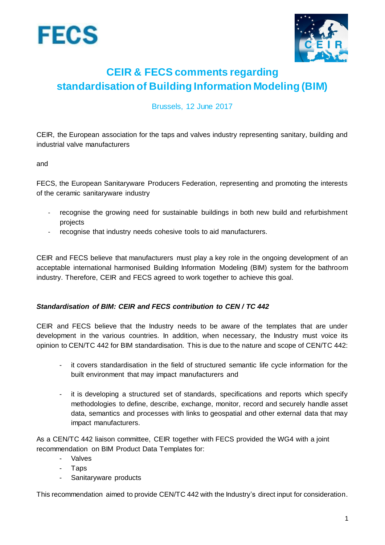



# **CEIR & FECS comments regarding standardisation of Building Information Modeling (BIM)**

Brussels, 12 June 2017

CEIR, the European association for the taps and valves industry representing sanitary, building and industrial valve manufacturers

and

FECS, the European Sanitaryware Producers Federation, representing and promoting the interests of the ceramic sanitaryware industry

- recognise the growing need for sustainable buildings in both new build and refurbishment projects
- recognise that industry needs cohesive tools to aid manufacturers.

CEIR and FECS believe that manufacturers must play a key role in the ongoing development of an acceptable international harmonised Building Information Modeling (BIM) system for the bathroom industry. Therefore, CEIR and FECS agreed to work together to achieve this goal.

# *Standardisation of BIM: CEIR and FECS contribution to CEN / TC 442*

CEIR and FECS believe that the Industry needs to be aware of the templates that are under development in the various countries. In addition, when necessary, the Industry must voice its opinion to CEN/TC 442 for BIM standardisation. This is due to the nature and scope of CEN/TC 442:

- it covers standardisation in the field of structured semantic life cycle information for the built environment that may impact manufacturers and
- it is developing a structured set of standards, specifications and reports which specify methodologies to define, describe, exchange, monitor, record and securely handle asset data, semantics and processes with links to geospatial and other external data that may impact manufacturers.

As a CEN/TC 442 liaison committee, CEIR together with FECS provided the WG4 with a joint recommendation on BIM Product Data Templates for:

- **Valves**
- Taps
- Sanitaryware products

This recommendation aimed to provide CEN/TC 442 with the Industry's direct input for consideration.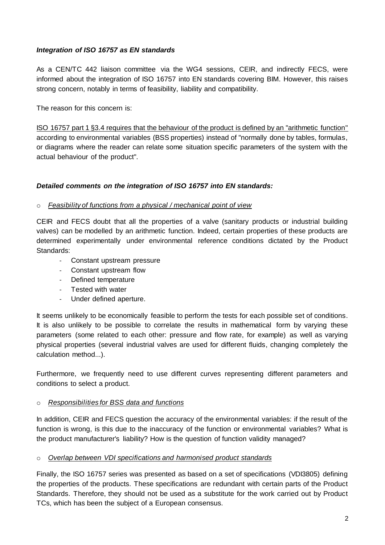# *Integration of ISO 16757 as EN standards*

As a CEN/TC 442 liaison committee via the WG4 sessions, CEIR, and indirectly FECS, were informed about the integration of ISO 16757 into EN standards covering BIM. However, this raises strong concern, notably in terms of feasibility, liability and compatibility.

The reason for this concern is:

ISO 16757 part 1 §3.4 requires that the behaviour of the product is defined by an "arithmetic function" according to environmental variables (BSS properties) instead of "normally done by tables, formulas, or diagrams where the reader can relate some situation specific parameters of the system with the actual behaviour of the product".

# *Detailed comments on the integration of ISO 16757 into EN standards:*

## o *Feasibility of functions from a physical / mechanical point of view*

CEIR and FECS doubt that all the properties of a valve (sanitary products or industrial building valves) can be modelled by an arithmetic function. Indeed, certain properties of these products are determined experimentally under environmental reference conditions dictated by the Product Standards:

- Constant upstream pressure
- Constant upstream flow
- Defined temperature
- Tested with water
- Under defined aperture.

It seems unlikely to be economically feasible to perform the tests for each possible set of conditions. It is also unlikely to be possible to correlate the results in mathematical form by varying these parameters (some related to each other: pressure and flow rate, for example) as well as varying physical properties (several industrial valves are used for different fluids, changing completely the calculation method...).

Furthermore, we frequently need to use different curves representing different parameters and conditions to select a product.

## o *Responsibilities for BSS data and functions*

In addition, CEIR and FECS question the accuracy of the environmental variables: if the result of the function is wrong, is this due to the inaccuracy of the function or environmental variables? What is the product manufacturer's liability? How is the question of function validity managed?

## o *Overlap between VDI specifications and harmonised product standards*

Finally, the ISO 16757 series was presented as based on a set of specifications (VDI3805) defining the properties of the products. These specifications are redundant with certain parts of the Product Standards. Therefore, they should not be used as a substitute for the work carried out by Product TCs, which has been the subject of a European consensus.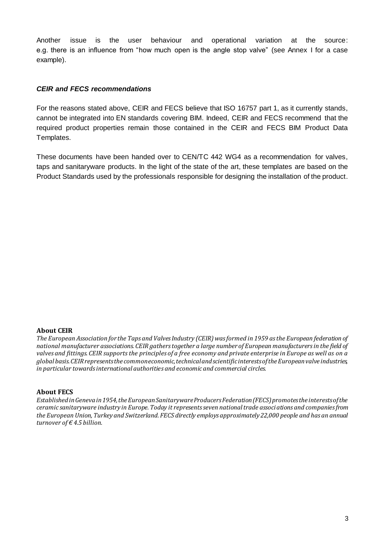Another issue is the user behaviour and operational variation at the source: e.g. there is an influence from "how much open is the angle stop valve" (see Annex I for a case example).

## *CEIR and FECS recommendations*

For the reasons stated above, CEIR and FECS believe that ISO 16757 part 1, as it currently stands, cannot be integrated into EN standards covering BIM. Indeed, CEIR and FECS recommend that the required product properties remain those contained in the CEIR and FECS BIM Product Data Templates.

These documents have been handed over to CEN/TC 442 WG4 as a recommendation for valves, taps and sanitaryware products. In the light of the state of the art, these templates are based on the Product Standards used by the professionals responsible for designing the installation of the product.

#### **About CEIR**

*The European Association for the Taps and Valves Industry (CEIR) was formed in 1959 as the European federation of national manufacturer associations. CEIR gathers together a large number of European manufacturers in the field of valves and fittings. CEIR supports the principles of a free economy and private enterprise in Europe as well as on a global basis. CEIR represents the common economic, technical and scientific interests of the European valve industries, in particular towards international authorities and economic and commercial circles.* 

#### **About FECS**

*Established in Geneva in 1954, the European Sanitaryware Producers Federation (FECS) promotes the interests of the ceramic sanitaryware industry in Europe. Today it represents seven national trade associations and companies from the European Union, Turkey and Switzerland. FECS directly employs approximately 22,000 people and has an annual turnover of € 4.5 billion.*